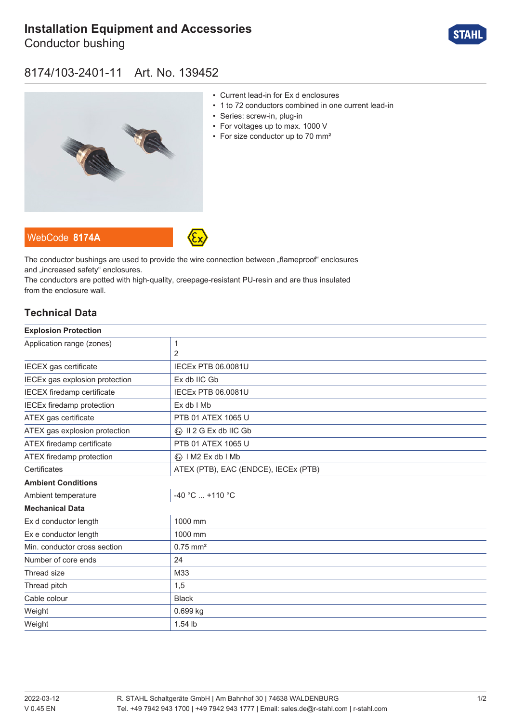# **[Installation Equipment and Accessories](https://r-stahl.com/en/global/products/materialid/139452)**

Conductor bushing



### 8174/103-2401-11 Art. No. 139452



- Current lead-in for Ex d enclosures
- 1 to 72 conductors combined in one current lead-in
- Series: screw-in, plug-in
- For voltages up to max. 1000 V
- For size conductor up to 70 mm<sup>2</sup>

WebCode **[8174A](https://r-stahl.com/en/global/products/downloads/webcode/8174A)**



The conductor bushings are used to provide the wire connection between "flameproof" enclosures and .increased safety" enclosures.

The conductors are potted with high-quality, creepage-resistant PU-resin and are thus insulated from the enclosure wall.

#### **Technical Data**

| <b>Explosion Protection</b>       |                                         |
|-----------------------------------|-----------------------------------------|
| Application range (zones)         | 1                                       |
|                                   | 2                                       |
| IECEX gas certificate             | <b>IECEX PTB 06.0081U</b>               |
| IECEx gas explosion protection    | Ex db IIC Gb                            |
| <b>IECEX</b> firedamp certificate | <b>IECEx PTB 06.0081U</b>               |
| <b>IECEx firedamp protection</b>  | $Ex db$ I Mb                            |
| ATEX gas certificate              | PTB 01 ATEX 1065 U                      |
| ATEX gas explosion protection     | $\langle x \rangle$ II 2 G Ex db IIC Gb |
| ATEX firedamp certificate         | PTB 01 ATEX 1065 U                      |
| ATEX firedamp protection          | $\langle x \rangle$   M2 Ex db   Mb     |
| Certificates                      | ATEX (PTB), EAC (ENDCE), IECEx (PTB)    |
| <b>Ambient Conditions</b>         |                                         |
| Ambient temperature               | $-40 °C  +110 °C$                       |
| <b>Mechanical Data</b>            |                                         |
| Ex d conductor length             | 1000 mm                                 |
| Ex e conductor length             | 1000 mm                                 |
| Min. conductor cross section      | $0.75$ mm <sup>2</sup>                  |
| Number of core ends               | 24                                      |
| Thread size                       | M33                                     |
| Thread pitch                      | 1,5                                     |
| Cable colour                      | <b>Black</b>                            |
| Weight                            | 0.699 kg                                |
| Weight                            | 1.54 lb                                 |